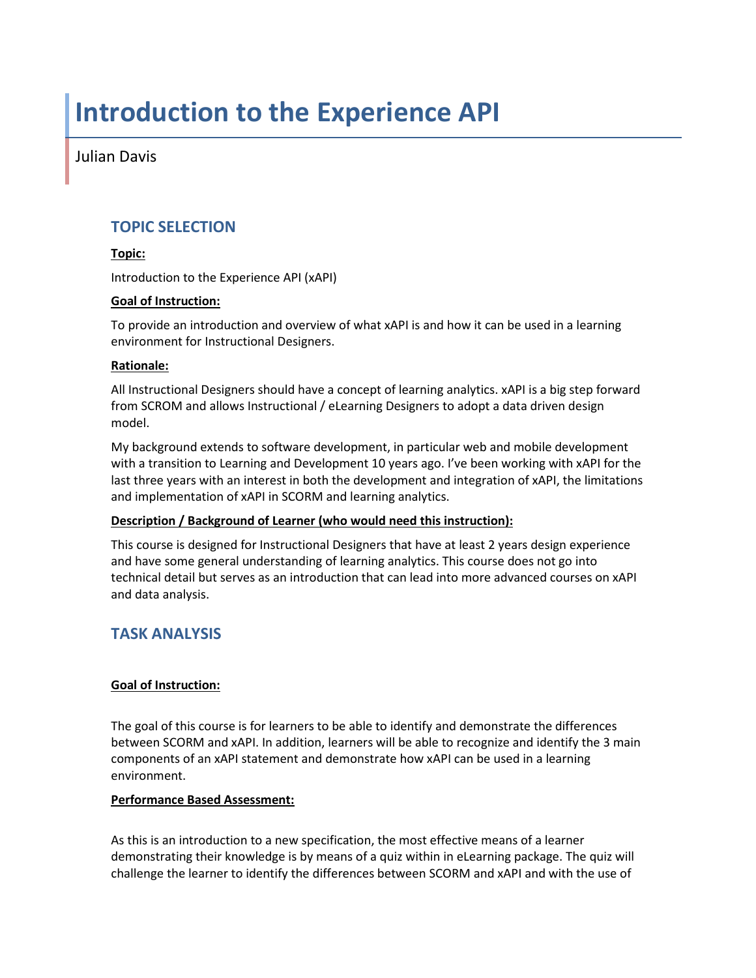# **Introduction to the Experience API**

Julian Davis

# **TOPIC SELECTION**

# **Topic:**

Introduction to the Experience API (xAPI)

### **Goal of Instruction:**

To provide an introduction and overview of what xAPI is and how it can be used in a learning environment for Instructional Designers.

#### **Rationale:**

All Instructional Designers should have a concept of learning analytics. xAPI is a big step forward from SCROM and allows Instructional / eLearning Designers to adopt a data driven design model.

My background extends to software development, in particular web and mobile development with a transition to Learning and Development 10 years ago. I've been working with xAPI for the last three years with an interest in both the development and integration of xAPI, the limitations and implementation of xAPI in SCORM and learning analytics.

# **Description / Background of Learner (who would need this instruction):**

This course is designed for Instructional Designers that have at least 2 years design experience and have some general understanding of learning analytics. This course does not go into technical detail but serves as an introduction that can lead into more advanced courses on xAPI and data analysis.

# **TASK ANALYSIS**

# **Goal of Instruction:**

The goal of this course is for learners to be able to identify and demonstrate the differences between SCORM and xAPI. In addition, learners will be able to recognize and identify the 3 main components of an xAPI statement and demonstrate how xAPI can be used in a learning environment.

#### **Performance Based Assessment:**

As this is an introduction to a new specification, the most effective means of a learner demonstrating their knowledge is by means of a quiz within in eLearning package. The quiz will challenge the learner to identify the differences between SCORM and xAPI and with the use of